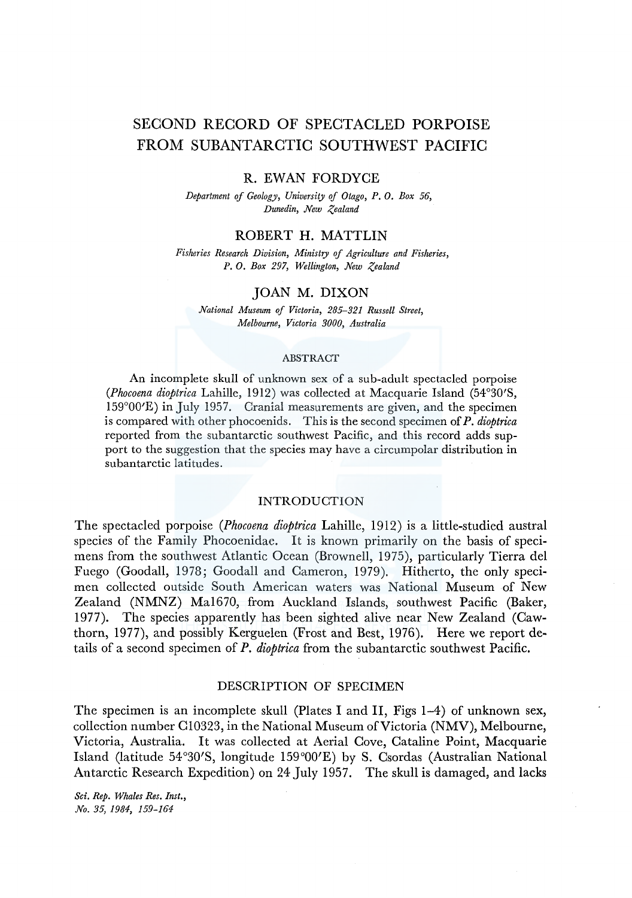# SECOND RECORD OF SPECTACLED PORPOISE FROM SUBANTARCTIC SOUTHWEST PACIFIC

#### R. EWAN FORDYCE

*Department of Geology, University of Otago,* P, 0. *Box 56, Dunedin, New Zealand* 

# ROBERT H. MATTLIN

*Fisheries Research Division, Ministry of Agriculture and Fisheries, P. 0. Box 297, Wellington, New Zealand* 

## JOAN M. DIXON

*National Museum of Victoria, 285-321 Russell Street, Melbourne, Victoria 3000, Australia* 

#### ABSTRACT

An incomplete skull of unknown sex of a sub-adult spectacled porpoise *(Phocoena dioptrica* Lahille, 1912) was collected at Macquarie Island (54°30'S, 159°00'E) in July 1957. Cranial measurements are given, and the specimen is compared with other phocoenids. This is the second specimen of *P. dioptrica*  reported from the subantarctic southwest Pacific, and this record adds support to the suggestion that the species may have a circumpolar distribution in subantarctic latitudes.

#### INTRODUCTION

The spectacled porpoise *(Phocoena dioptrica* Lahille, 1912) is a little-studied austral species of the Family Phocoenidae. It is known primarily on the basis of specimens from the southwest Atlantic Ocean (Brownell, 1975), particularly Tierra del Fuego (Goodall, 1978; Goodall and Cameron, 1979). Hitherto, the only specimen collected outside South American waters was National Museum of New Zealand (NMNZ) Mal670, from Auckland Islands, southwest Pacific (Baker, 1977). The species apparently has been sighted alive near New Zealand (Cawthorn, 1977), and possibly Kerguelen (Frost and Best, 1976). Here we report details of a second specimen of *P. dioptrica* from the subantarctic southwest Pacific.

## DESCRIPTION OF SPECIMEN

The specimen is an incomplete skull (Plates I and II, Figs 1-4) of unknown sex, collection number Cl0323, in the National Museum of Victoria (NMV), Melbourne, Victoria, Australia. It was collected at Aerial Cove, Cataline Point, Macquarie Island (latitude 54°30'S, longitude 159°00'E) by S. Csordas (Australian National Antarctic Research Expedition) on 24 July 1957. The skull is damaged, and lacks

*Sci. Rep. Whales Res. Inst., No. 35, 1984, 159-164*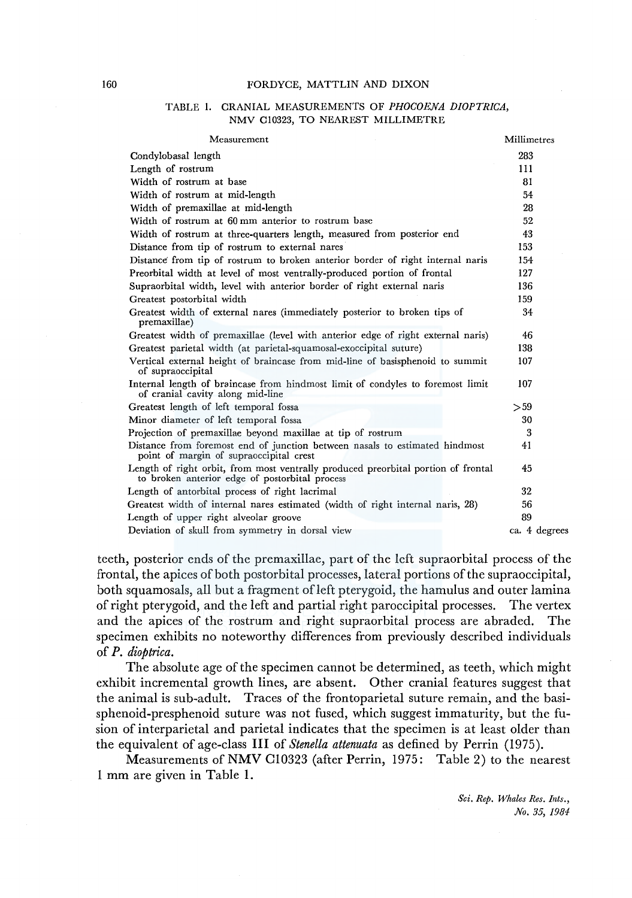#### TABLE 1. CRANIAL MEASUREMENTS OF *PHOCOENA DIOPTRICA,*  NMV Cl0323, TO NEAREST MILLIMETRE

| Measurement                                                                                                                         | Millimetres |               |
|-------------------------------------------------------------------------------------------------------------------------------------|-------------|---------------|
| Condylobasal length                                                                                                                 | 283         |               |
| Length of rostrum                                                                                                                   | 111         |               |
| Width of rostrum at base                                                                                                            | 81          |               |
| Width of rostrum at mid-length                                                                                                      | 54          |               |
| Width of premaxillae at mid-length                                                                                                  | 28          |               |
| Width of rostrum at 60 mm anterior to rostrum base                                                                                  | 52          |               |
| Width of rostrum at three-quarters length, measured from posterior end                                                              | 43          |               |
| Distance from tip of rostrum to external nares                                                                                      | 153         |               |
| Distance from tip of rostrum to broken anterior border of right internal naris                                                      | 154         |               |
| Preorbital width at level of most ventrally-produced portion of frontal                                                             | 127         |               |
| Supraorbital width, level with anterior border of right external naris                                                              | 136         |               |
| Greatest postorbital width                                                                                                          | 159         |               |
| Greatest width of external nares (immediately posterior to broken tips of<br>premaxillae)                                           | 34          |               |
| Greatest width of premaxillae (level with anterior edge of right external naris)                                                    | 46          |               |
| Greatest parietal width (at parietal-squamosal-exoccipital suture)                                                                  | 138         |               |
| Vertical external height of braincase from mid-line of basisphenoid to summit<br>of supraoccipital                                  | 107         |               |
| Internal length of braincase from hindmost limit of condyles to foremost limit<br>of cranial cavity along mid-line                  | 107         |               |
| Greatest length of left temporal fossa                                                                                              | > 59        |               |
| Minor diameter of left temporal fossa                                                                                               | 30          |               |
| Projection of premaxillae beyond maxillae at tip of rostrum                                                                         | 3           |               |
| Distance from foremost end of junction between nasals to estimated hindmost<br>point of margin of supraoccipital crest              | 41          |               |
| Length of right orbit, from most ventrally produced preorbital portion of frontal<br>to broken anterior edge of postorbital process | 45          |               |
| Length of antorbital process of right lacrimal                                                                                      | 32          |               |
| Greatest width of internal nares estimated (width of right internal naris, 28)                                                      | 56          |               |
| Length of upper right alveolar groove                                                                                               | 89          |               |
| Deviation of skull from symmetry in dorsal view                                                                                     |             | ca. 4 degrees |
|                                                                                                                                     |             |               |

teeth, posterior ends of the premaxillae, part of the left supraorbital process of the frontal, the apices of both postorbital processes, lateral portions of the supraoccipital, both squamosals, all but a fragment ofleft pterygoid, the hamulus and outer lamina ofright pterygoid, and the left and partial right paroccipital processes. The vertex and the apices of the rostrum and right supraorbital process are abraded. The specimen exhibits no noteworthy differences from previously described individuals of *P. dioptrica.* 

The absolute age of the specimen cannot be determined, as teeth, which might exhibit incremental growth lines, are absent. Other cranial features suggest that the animal is sub-adult. Traces of the frontoparietal suture remain, and the basisphenoid-presphenoid suture was not fused, which suggest immaturity, but the fusion of interparietal and parietal indicates that the specimen is at least older than the equivalent of age-class III of *Stenella attenuata* as defined by Perrin (1975).

Measurements of NMV C10323 (after Perrin, 1975: Table 2) to the nearest 1 mm are given in Table 1.

> *Sci. Rep. Whales Res. Ints., No. 35, 1981:*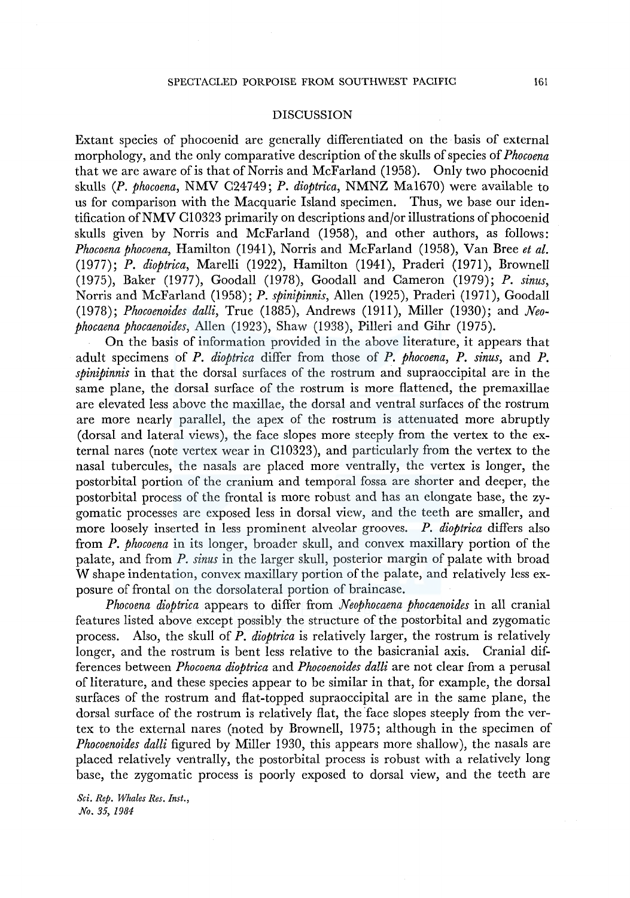#### **DISCUSSION**

Extant species of phocoenid are generally differentiated on the basis of external morphology, and the only comparative description of the skulls of species of *Phocoena*  that we are aware of is that of Norris and McFarland (1958). Only two phocoenid skulls (P. *phocoena,* NMV C24749; *P. dioptrica,* NMNZ Mal670) were available to us for comparison with the Macquarie Island specimen. Thus, we base our identification of NMV C10323 primarily on descriptions and/or illustrations of phocoenid skulls given by Norris and McFarland (1958), and other authors, as follows: *Phocoena phocoena,* Hamilton (1941), Norris and McFarland (1958), Van Bree *et al.*  (1977); *P. dioptrica,* Marelli (1922), Hamilton (1941), Praderi (1971), Brownell (1975), Baker (1977), Goodall (1978), Goodall and Cameron (1979); *P. sinus,*  Norris and McFarland (1958); *P. spinipinnis,* Allen (1925), Praderi (1971 ), Goodall (1978); *Phocoenoides dalli,* True (1885), Andrews (1911), Miller (1930); and *Neophocaena phocaenoides,* Allen (1923), Shaw (1938), Pilleri and Gihr (1975).

On the basis of information provided in the above literature, it appears that adult specimens of *P. dioptrica* differ from those of *P. phocoena, P. sinus,* and *P. spinipinnis* in that the dorsal surfaces of the rostrum and supraoccipital are in the same plane, the dorsal surface of the rostrum is more flattened, the premaxillae are elevated less above the maxillae, the dorsal and ventral surfaces of the rostrum are more nearly parallel, the apex of the rostrum is attenuated more abruptly (dorsal and lateral views), the face slopes more steeply from the vertex to the external nares (note vertex wear in Cl0323), and particularly from the vertex to the nasal tubercules, the nasals are placed more ventrally, the vertex is longer, the postorbital portion of the cranium and temporal fossa are shorter and deeper, the postorbital process of the frontal is more robust and has an elongate base, the zygomatic processes are exposed less in dorsal view, and the teeth are smaller, and more loosely inserted in less prominent alveolar grooves. *P. dioptrica* differs also from *P. phocoena* in its longer, broader skull, and convex maxillary portion of the palate, and from *P. sinus* in the larger skull, posterior margin of palate with broad W shape indentation, convex maxillary portion of the palate, and relatively less exposure of frontal on the dorsolateral portion of braincase.

*Phocoena dioptrica* appears to differ from *Neophocaena phocaenoides* in all cranial features listed above except possibly the structure of the postorbital and zygomatic process. Also, the skull of *P. dioptrica* is relatively larger, the rostrum is relatively longer, and the rostrum is bent less relative to the basicranial axis. Cranial diff erences between *Phocoena dioptrica* and *Phocoenoides da!li* are not clear from a perusal of literature, and these species appear to be similar in that, for example, the dorsal surfaces of the rostrum and flat-topped supraoccipital are in the same plane, the dorsal surface of the rostrum is relatively flat, the face slopes steeply from the vertex to the external nares (noted by Brownell, 1975; although in the specimen of *Phocoenoides dalli* figured by Miller 1930, this appears more shallow), the nasals are placed relatively ventrally, the postorbital process is robust with a relatively long base, the zygomatic process is poorly exposed to dorsal view, and the teeth are

*Sci. Rep. Whales Res. Inst., No. 35, 1984*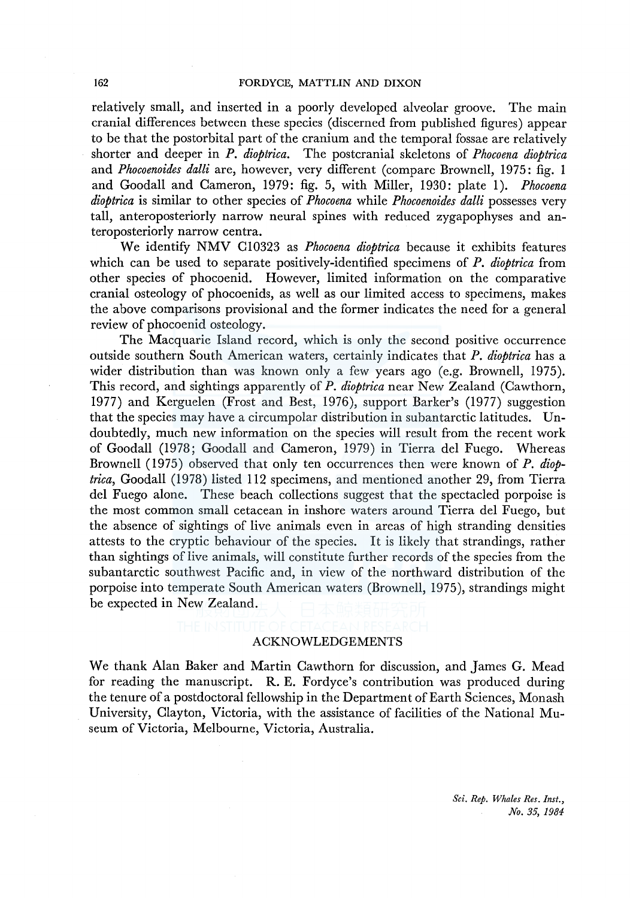relatively small, and inserted in a poorly developed alveolar groove. The main cranial differences between these species (discerned from published figures) appear to be that the postorbital part of the cranium and the temporal fossae are relatively shorter and deeper in *P. dioptrica.* The postcranial skeletons of *Phocoena dioptrica*  and *Phocoenoides dalli* are, however, very different (compare Brownell, 1975: fig. I and Goodall and Cameron, 1979: fig. 5, with Miller, 1930: plate I). *Phocoena dioptrica* is similar to other species of *Phocoena* while *Phocoenoides dalli* possesses very tall, anteroposteriorly narrow neural spines with reduced zygapophyses and anteroposteriorly narrow centra.

We identify NMV Cl0323 as *Phocoena dioptrica* because it exhibits features which can be used to separate positively-identified specimens of *P. dioptrica* from other species of phocoenid. However, limited information on the comparative cranial osteology of phocoenids, as well as our limited access to specimens, makes the above comparisons provisional and the former indicates the need for a general review of phocoenid osteology.

The Macquarie Island record, which is only the second positive occurrence outside southern South American waters, certainly indicates that *P. dioptrica* has a wider distribution than was known only a few years ago (e.g. Brownell, 1975). This record, and sightings apparently of *P. dioptrica* near New Zealand (Cawthorn, 1977) and Kerguelen (Frost and Best, 1976), support Barker's (1977) suggestion that the species may have a circumpolar distribution in subantarctic latitudes. Undoubtedly, much new information on the species will result from the recent work of Goodall (1978; Goodall and Cameron, 1979) in Tierra del Fuego. Whereas Brownell (1975) observed that only ten occurrences then were known of *P. dioptrica,* Goodall (1978) listed 112 specimens, and mentioned another 29, from Tierra del Fuego alone. These beach collections suggest that the spectacled porpoise is the most common small cetacean in inshore waters around Tierra del Fuego, but the absence of sightings of live animals even in areas of high stranding densities attests to the cryptic behaviour of the species. It is likely that strandings, rather than sightings of live animals, will constitute further records of the species from the subantarctic southwest Pacific and, in view of the northward distribution of the porpoise into temperate South American waters (Brownell, 1975), strandings might be expected in New Zealand.

#### ACKNOWLEDGEMENTS

We thank Alan Baker and Martin Cawthorn for discussion, and James G. Mead for reading the manuscript. R. E. Fordyce's contribution was produced during the tenure of a postdoctoral fellowship in the Department of Earth Sciences, Monash University, Clayton, Victoria, with the assistance of facilities of the National Museum of Victoria, Melbourne, Victoria, Australia.

> *Sci. Rep. Whales Res. Inst., No. 35, 1984*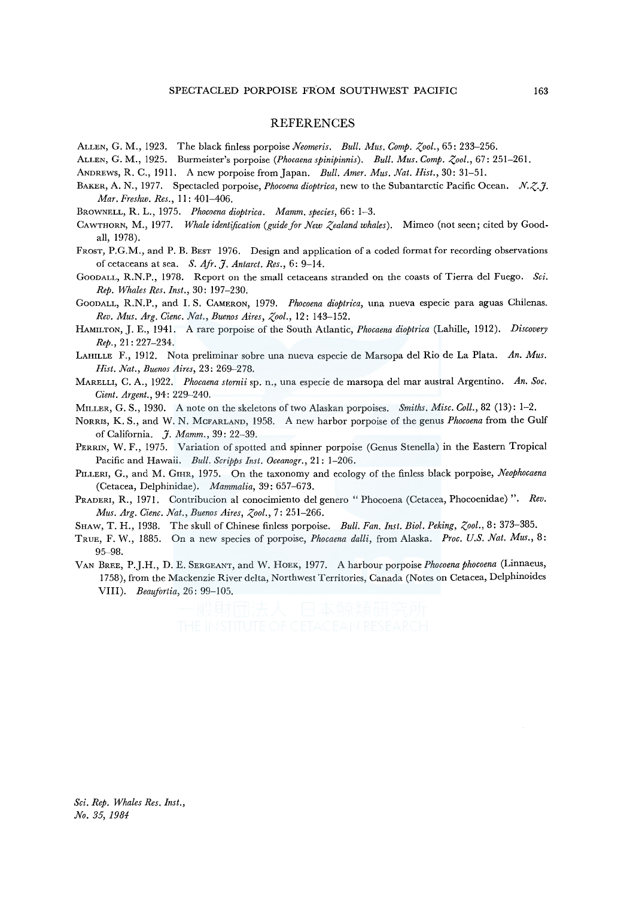#### REFERENCES

- ALLEN, G. M., 1923. The black finless porpoise *Neomeris. Bull. Mus. Comp. Zool.*, 65: 233–256.
- ALLEN, G. M., 1925. Burmeister's porpoise *(Phocaena spinipinnis). Bull. Mus. Comp. Zool.,* 67: 251-261.
- ANDREWS, R. C., 1911. A new porpoise from Japan. *Bull. Amer. Mus. Nat. Hist.,* 30: 31-51.
- BAKER, A. N., 1977. Spectacled porpoise, *Phocoena dioptrica,* new to the Subantarctic Pacific Ocean. *N.z.J. Mar. Freshw. Res.,* I I: 401-406.
- BROWNELL, R. L., 1975. *Phocoena dioptrica. Mamm. species,* 66: 1-3.
- CAWTHORN, M., 1977. *Whale identification (guide for New Zealand whales).* Mimeo (not seen; cited by Goodall, 1978).
- FROST, P.G.M., and P. B. BEST 1976. Design and application of a coded format for recording observations of cetaceans at sea. *S. Afr. J. Antarct. Res.,* 6: 9-14.
- GooDALL, R.N.P., 1978. Report on the small cetaceans stranded on the coasts of Tierra de! Fuego. *Sci. Rep. Whales Res. Inst.,* 30: 197-230.
- GooDALL, R.N.P., and I. S. CAMERON, 1979. *Phocoena dioptrica,* una nueva especie para aguas Chilenas. *Rev. Mus. Arg. Cienc. Nat., Buenos Aires, Zool.,* 12: 143-152.
- HAMILTON, J.E., 1941. A rare porpoise of the South Atlantic, *Phocaena dioptrica* (Lahille, 1912). *Discovery Rep.,* 21: 227-234.
- LAHILLE F., 1912. Nota preliminar sobre una nueva especie de Marsopa de! Rio de La Plata. *An. Mus. Hist. Nat., Buenos Aires,* 23: 269-278.
- MARELLI, C. A., 1922. *Phocaena stornii* sp. n., una especie de marsopa de! mar austral Argentino. *An. Soc. Cient. Argent.,* 94: 229-240.
- MILLER, G. S., 1930. A note on the skeletons of two Alaskan porpoises. *Smiths. Misc. Coll.,* 82 (13): 1-2.
- NoRRis, K. S., and W. N. McFARLAND, 1958. A new harbor porpoise of the genus *Phocoena* from the Gulf of California. *J. Mamm.,* 39: 22-39.
- PERRIN, W. F., 1975. Variation of spotted and spinner porpoise (Genus Stenella) in the Eastern Tropical Pacific and Hawaii. *Bull. Scripps Inst. Oceanogr.,* 21: 1-206.
- PILLERI, G., and M. GIHR, 1975. On the taxonomy and ecology of the finless black porpoise, *Neophocaena* (Cetacea, De!phinidae). *Mammalia,* 39: 657-673.
- PRADERI, R., 1971. Contribucion al conocimiento de! genero "Phocoena (Cetacea, Phocoenidae) ". *Rev. Mus. Arg. Cienc. Nat., Buenos Aires, Zool.,* 7: 251-266.
- SHAW, T. H., 1938. The skull of Chinese finless porpoise. *Bull. Fan. Inst. Biol. Peking, Zool.,* 8: 373-385.
- TRUE, F. W., 1885. On a new species of porpoise, *Phocaena dalli,* from Alaska. *Proc. U.S. Nat. Mus.,* 8: 95-98.
- VAN BREE, P.J.H., D. E. SERGEANT, and W. HOEK, 1977. A harbour porpoise *Phocoena phocoena* (Linnaeus, 1758), from the Mackenzie River delta, Northwest Territories, Canada (Notes on Cetacea, Delphinoides VIII). *Beaufortia,* 26: 99-105.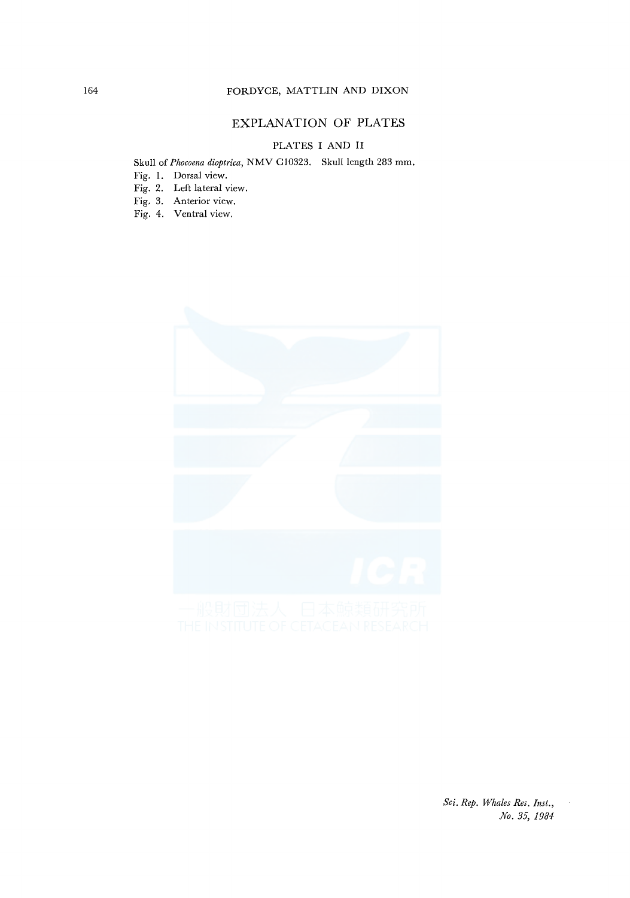## EXPLANATION OF PLATES

### PLATES I AND II

# Skull of *Phocoena dioptrica,* NMV C10323. Skull length 283 mm.

- Fig. 1. Dorsal view.
- Fig. 2. Left lateral view.
- Fig. 3. Anterior view.
- Fig. 4. Ventral view.



*Sci. Rep. Whales Res. Inst., No. 35, 1984*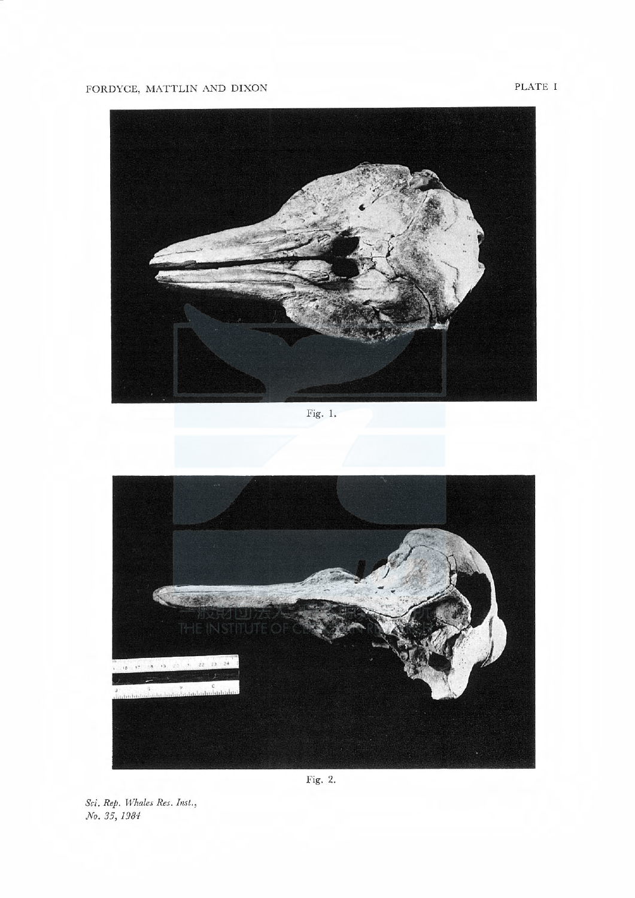PLATE I



Fig. 1.



No. 35, 1984 Sci. Rep. Whales Res. Inst.,